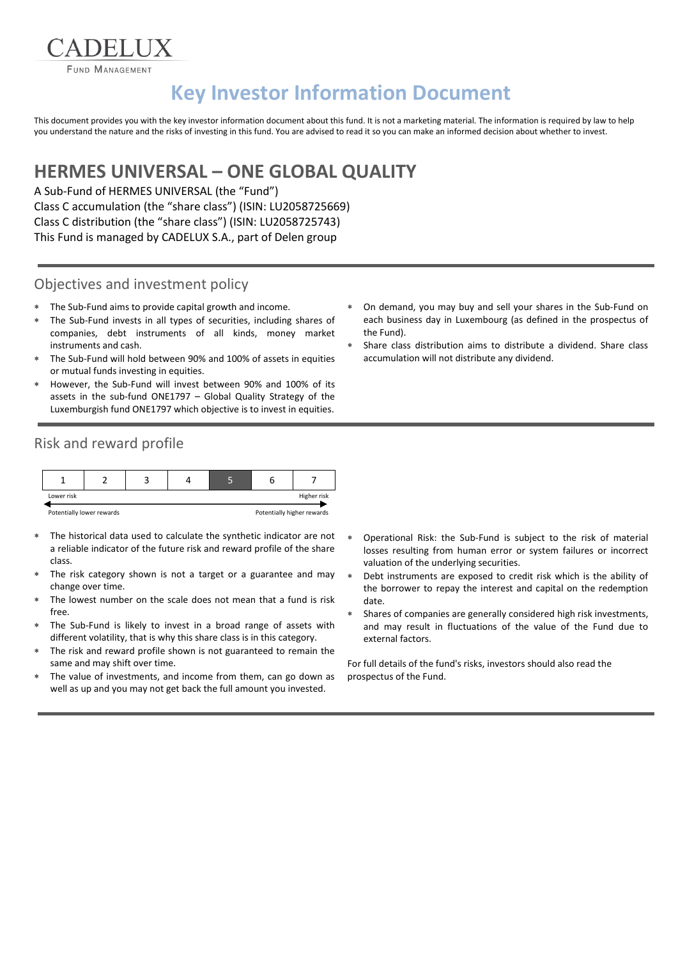**FUND MANAGEMENT** 

**ADELIIX** 

# **Key Investor Information Document**

This document provides you with the key investor information document about this fund. It is not a marketing material. The information is required by law to help you understand the nature and the risks of investing in this fund. You are advised to read it so you can make an informed decision about whether to invest.

## **HERMES UNIVERSAL – ONE GLOBAL QUALITY**

A Sub-Fund of HERMES UNIVERSAL (the "Fund") Class C accumulation (the "share class") (ISIN: LU2058725669) Class C distribution (the "share class") (ISIN: LU2058725743) This Fund is managed by CADELUX S.A., part of Delen group

### Objectives and investment policy

- The Sub-Fund aims to provide capital growth and income.
- The Sub-Fund invests in all types of securities, including shares of companies, debt instruments of all kinds, money market instruments and cash.
- The Sub-Fund will hold between 90% and 100% of assets in equities or mutual funds investing in equities.
- However, the Sub-Fund will invest between 90% and 100% of its assets in the sub-fund ONE1797 – Global Quality Strategy of the Luxemburgish fund ONE1797 which objective is to invest in equities.
- Risk and reward profile



- The historical data used to calculate the synthetic indicator are not a reliable indicator of the future risk and reward profile of the share class.
- The risk category shown is not a target or a guarantee and may change over time.
- The lowest number on the scale does not mean that a fund is risk free.
- The Sub-Fund is likely to invest in a broad range of assets with different volatility, that is why this share class is in this category.
- The risk and reward profile shown is not guaranteed to remain the same and may shift over time.
- The value of investments, and income from them, can go down as well as up and you may not get back the full amount you invested.
- On demand, you may buy and sell your shares in the Sub-Fund on each business day in Luxembourg (as defined in the prospectus of the Fund).
- Share class distribution aims to distribute a dividend. Share class accumulation will not distribute any dividend.

- Operational Risk: the Sub-Fund is subject to the risk of material losses resulting from human error or system failures or incorrect valuation of the underlying securities.
- Debt instruments are exposed to credit risk which is the ability of the borrower to repay the interest and capital on the redemption date.
- Shares of companies are generally considered high risk investments, and may result in fluctuations of the value of the Fund due to external factors.

For full details of the fund's risks, investors should also read the prospectus of the Fund.